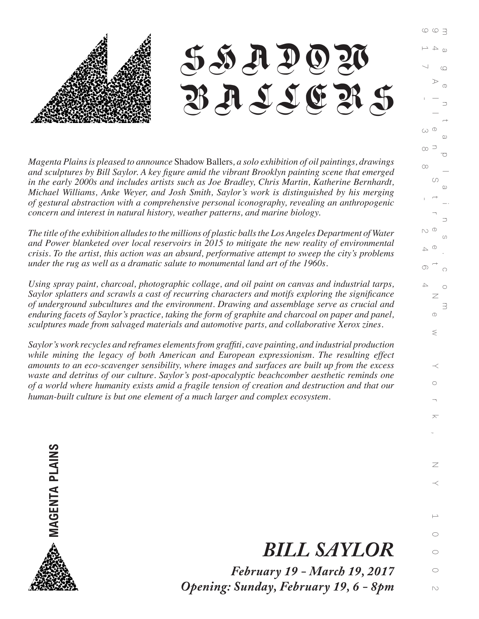

*Magenta Plains is pleased to announce* Shadow Ballers*, a solo exhibition of oil paintings, drawings and sculptures by Bill Saylor. A key figure amid the vibrant Brooklyn painting scene that emerged in the early 2000s and includes artists such as Joe Bradley, Chris Martin, Katherine Bernhardt, Michael Williams, Anke Weyer, and Josh Smith, Saylor's work is distinguished by his merging of gestural abstraction with a comprehensive personal iconography, revealing an anthropogenic concern and interest in natural history, weather patterns, and marine biology.* 

*The title of the exhibition alludes to the millions of plastic balls the Los Angeles Department of Water and Power blanketed over local reservoirs in 2015 to mitigate the new reality of environmental crisis. To the artist, this action was an absurd, performative attempt to sweep the city's problems under the rug as well as a dramatic salute to monumental land art of the 1960s.*

*Using spray paint, charcoal, photographic collage, and oil paint on canvas and industrial tarps, Saylor splatters and scrawls a cast of recurring characters and motifs exploring the significance of underground subcultures and the environment. Drawing and assemblage serve as crucial and enduring facets of Saylor's practice, taking the form of graphite and charcoal on paper and panel, sculptures made from salvaged materials and automotive parts, and collaborative Xerox zines.*

*Saylor's work recycles and reframes elements from graffiti, cave painting, and industrial production while mining the legacy of both American and European expressionism. The resulting effect amounts to an eco-scavenger sensibility, where images and surfaces are built up from the excess waste and detritus of our culture. Saylor's post-apocalyptic beachcomber aesthetic reminds one of a world where humanity exists amid a fragile tension of creation and destruction and that our human-built culture is but one element of a much larger and complex ecosystem.*



## *BILL SAYLOR*

*February 19 - March 19, 2017 Opening: Sunday, February 19, 6 - 8pm*